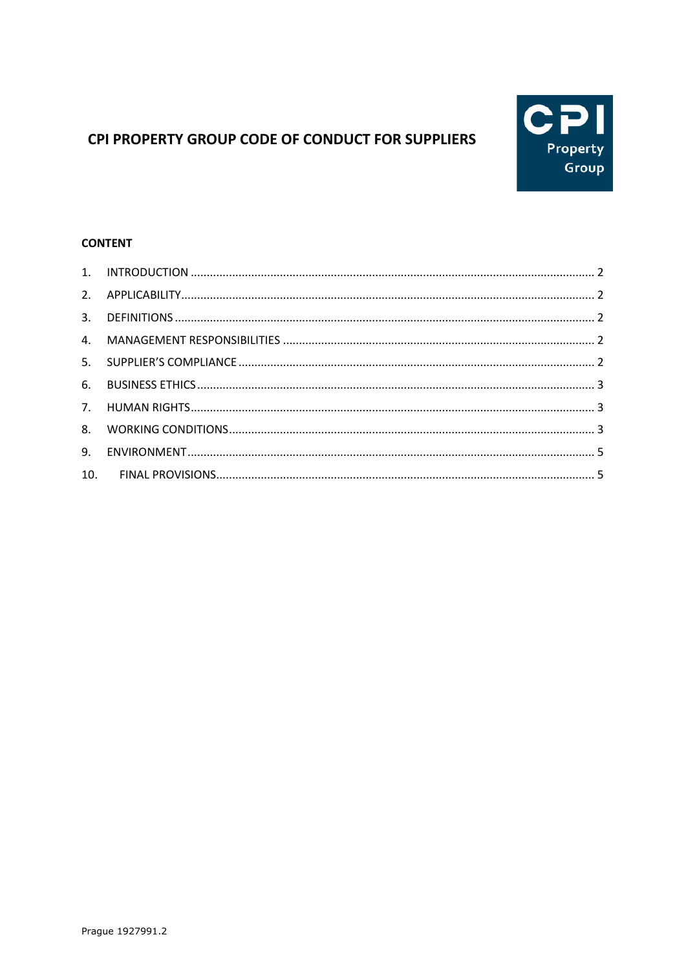

# CPI PROPERTY GROUP CODE OF CONDUCT FOR SUPPLIERS

## **CONTENT**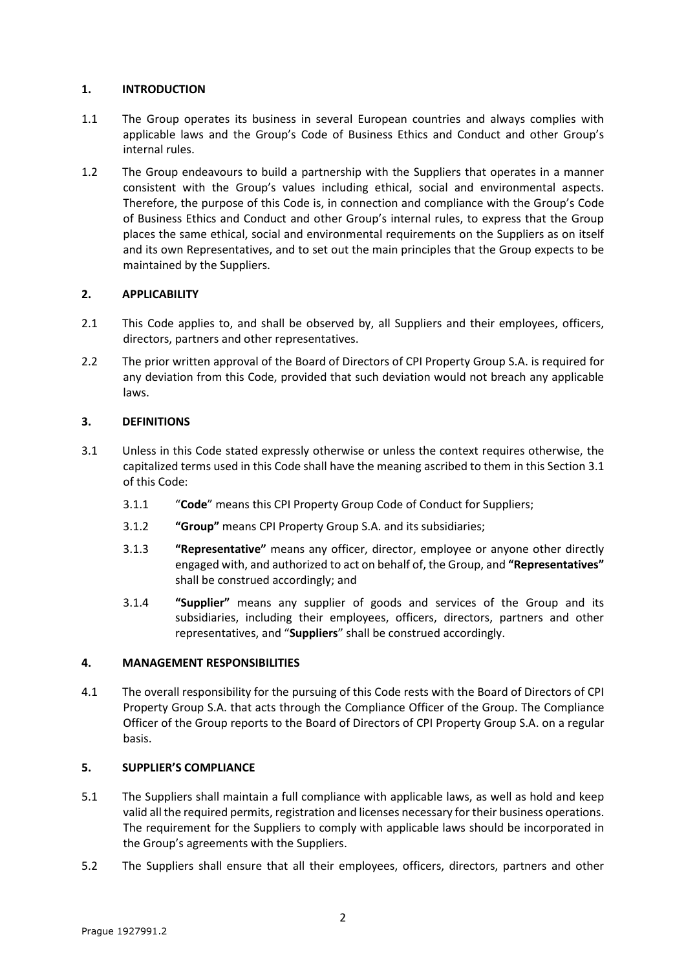## <span id="page-1-0"></span>**1. INTRODUCTION**

- 1.1 The Group operates its business in several European countries and always complies with applicable laws and the Group's Code of Business Ethics and Conduct and other Group's internal rules.
- 1.2 The Group endeavours to build a partnership with the Suppliers that operates in a manner consistent with the Group's values including ethical, social and environmental aspects. Therefore, the purpose of this Code is, in connection and compliance with the Group's Code of Business Ethics and Conduct and other Group's internal rules, to express that the Group places the same ethical, social and environmental requirements on the Suppliers as on itself and its own Representatives, and to set out the main principles that the Group expects to be maintained by the Suppliers.

# <span id="page-1-1"></span>**2. APPLICABILITY**

- 2.1 This Code applies to, and shall be observed by, all Suppliers and their employees, officers, directors, partners and other representatives.
- 2.2 The prior written approval of the Board of Directors of CPI Property Group S.A. is required for any deviation from this Code, provided that such deviation would not breach any applicable laws.

# <span id="page-1-2"></span>**3. DEFINITIONS**

- <span id="page-1-5"></span>3.1 Unless in this Code stated expressly otherwise or unless the context requires otherwise, the capitalized terms used in this Code shall have the meaning ascribed to them in this Sectio[n 3.1](#page-1-5) of this Code:
	- 3.1.1 "**Code**" means this CPI Property Group Code of Conduct for Suppliers;
	- 3.1.2 **"Group"** means CPI Property Group S.A. and its subsidiaries;
	- 3.1.3 **"Representative"** means any officer, director, employee or anyone other directly engaged with, and authorized to act on behalf of, the Group, and **"Representatives"** shall be construed accordingly; and
	- 3.1.4 **"Supplier"** means any supplier of goods and services of the Group and its subsidiaries, including their employees, officers, directors, partners and other representatives, and "**Suppliers**" shall be construed accordingly.

# <span id="page-1-3"></span>**4. MANAGEMENT RESPONSIBILITIES**

4.1 The overall responsibility for the pursuing of this Code rests with the Board of Directors of CPI Property Group S.A. that acts through the Compliance Officer of the Group. The Compliance Officer of the Group reports to the Board of Directors of CPI Property Group S.A. on a regular basis.

# <span id="page-1-4"></span>**5. SUPPLIER'S COMPLIANCE**

- 5.1 The Suppliers shall maintain a full compliance with applicable laws, as well as hold and keep valid all the required permits, registration and licenses necessary for their business operations. The requirement for the Suppliers to comply with applicable laws should be incorporated in the Group's agreements with the Suppliers.
- 5.2 The Suppliers shall ensure that all their employees, officers, directors, partners and other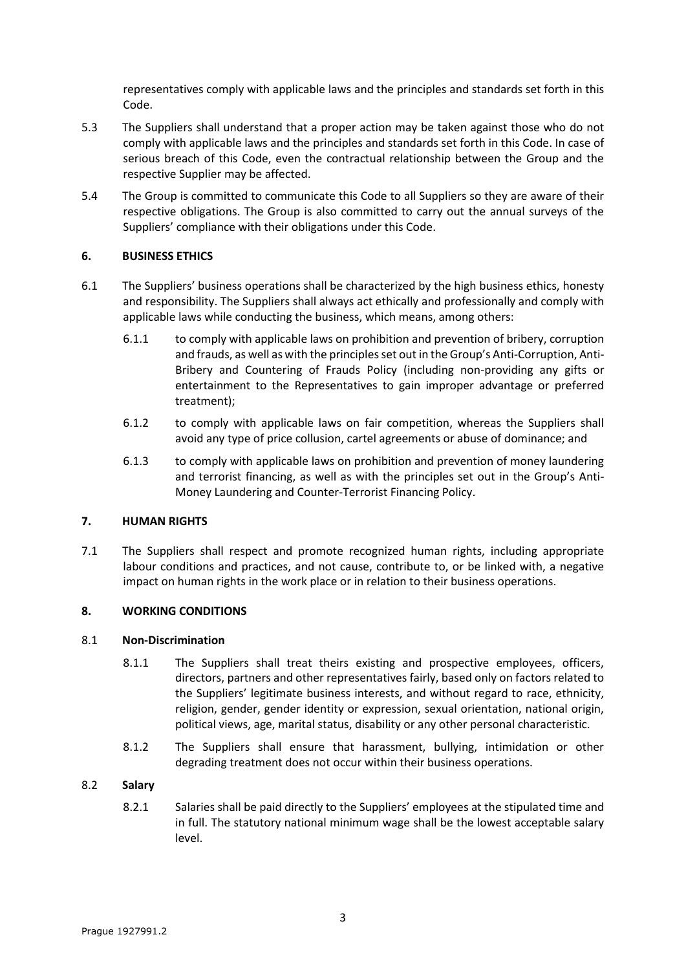representatives comply with applicable laws and the principles and standards set forth in this Code.

- 5.3 The Suppliers shall understand that a proper action may be taken against those who do not comply with applicable laws and the principles and standards set forth in this Code. In case of serious breach of this Code, even the contractual relationship between the Group and the respective Supplier may be affected.
- 5.4 The Group is committed to communicate this Code to all Suppliers so they are aware of their respective obligations. The Group is also committed to carry out the annual surveys of the Suppliers' compliance with their obligations under this Code.

## <span id="page-2-0"></span>**6. BUSINESS ETHICS**

- 6.1 The Suppliers' business operations shall be characterized by the high business ethics, honesty and responsibility. The Suppliers shall always act ethically and professionally and comply with applicable laws while conducting the business, which means, among others:
	- 6.1.1 to comply with applicable laws on prohibition and prevention of bribery, corruption and frauds, as well as with the principles set out in the Group's Anti-Corruption, Anti-Bribery and Countering of Frauds Policy (including non-providing any gifts or entertainment to the Representatives to gain improper advantage or preferred treatment);
	- 6.1.2 to comply with applicable laws on fair competition, whereas the Suppliers shall avoid any type of price collusion, cartel agreements or abuse of dominance; and
	- 6.1.3 to comply with applicable laws on prohibition and prevention of money laundering and terrorist financing, as well as with the principles set out in the Group's Anti-Money Laundering and Counter-Terrorist Financing Policy.

#### <span id="page-2-1"></span>**7. HUMAN RIGHTS**

7.1 The Suppliers shall respect and promote recognized human rights, including appropriate labour conditions and practices, and not cause, contribute to, or be linked with, a negative impact on human rights in the work place or in relation to their business operations.

#### <span id="page-2-2"></span>**8. WORKING CONDITIONS**

#### 8.1 **Non-Discrimination**

- 8.1.1 The Suppliers shall treat theirs existing and prospective employees, officers, directors, partners and other representatives fairly, based only on factors related to the Suppliers' legitimate business interests, and without regard to race, ethnicity, religion, gender, gender identity or expression, sexual orientation, national origin, political views, age, marital status, disability or any other personal characteristic.
- 8.1.2 The Suppliers shall ensure that harassment, bullying, intimidation or other degrading treatment does not occur within their business operations.

#### 8.2 **Salary**

8.2.1 Salaries shall be paid directly to the Suppliers' employees at the stipulated time and in full. The statutory national minimum wage shall be the lowest acceptable salary level.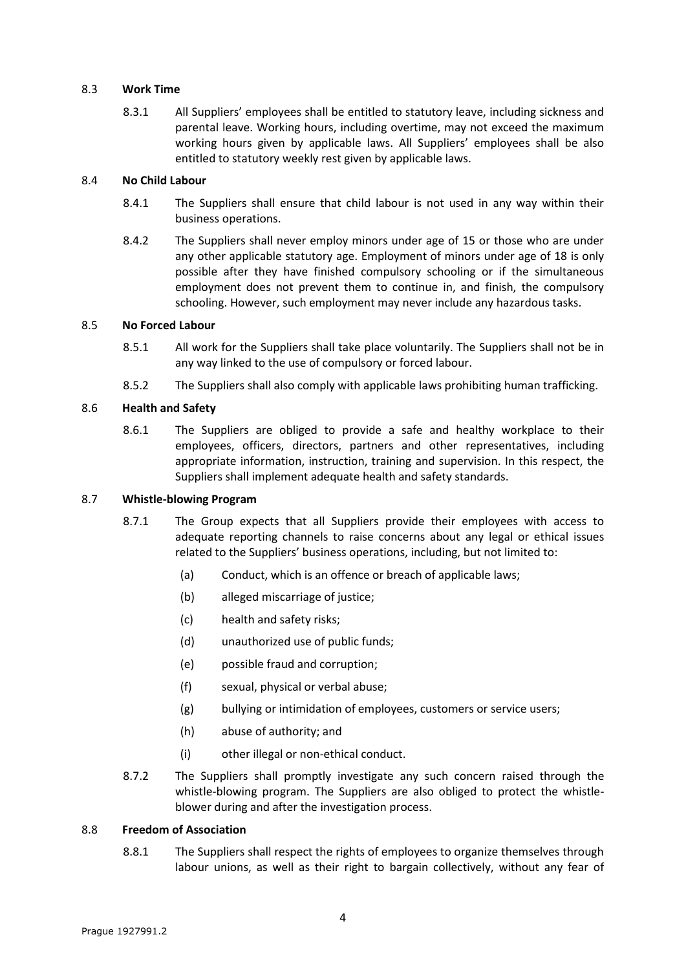#### 8.3 **Work Time**

8.3.1 All Suppliers' employees shall be entitled to statutory leave, including sickness and parental leave. Working hours, including overtime, may not exceed the maximum working hours given by applicable laws. All Suppliers' employees shall be also entitled to statutory weekly rest given by applicable laws.

#### 8.4 **No Child Labour**

- 8.4.1 The Suppliers shall ensure that child labour is not used in any way within their business operations.
- 8.4.2 The Suppliers shall never employ minors under age of 15 or those who are under any other applicable statutory age. Employment of minors under age of 18 is only possible after they have finished compulsory schooling or if the simultaneous employment does not prevent them to continue in, and finish, the compulsory schooling. However, such employment may never include any hazardous tasks.

## 8.5 **No Forced Labour**

- 8.5.1 All work for the Suppliers shall take place voluntarily. The Suppliers shall not be in any way linked to the use of compulsory or forced labour.
- 8.5.2 The Suppliers shall also comply with applicable laws prohibiting human trafficking.

## 8.6 **Health and Safety**

8.6.1 The Suppliers are obliged to provide a safe and healthy workplace to their employees, officers, directors, partners and other representatives, including appropriate information, instruction, training and supervision. In this respect, the Suppliers shall implement adequate health and safety standards.

#### 8.7 **Whistle-blowing Program**

- 8.7.1 The Group expects that all Suppliers provide their employees with access to adequate reporting channels to raise concerns about any legal or ethical issues related to the Suppliers' business operations, including, but not limited to:
	- (a) Conduct, which is an offence or breach of applicable laws;
	- (b) alleged miscarriage of justice;
	- (c) health and safety risks;
	- (d) unauthorized use of public funds;
	- (e) possible fraud and corruption;
	- (f) sexual, physical or verbal abuse;
	- (g) bullying or intimidation of employees, customers or service users;
	- (h) abuse of authority; and
	- (i) other illegal or non-ethical conduct.
- 8.7.2 The Suppliers shall promptly investigate any such concern raised through the whistle-blowing program. The Suppliers are also obliged to protect the whistleblower during and after the investigation process.

#### 8.8 **Freedom of Association**

8.8.1 The Suppliers shall respect the rights of employees to organize themselves through labour unions, as well as their right to bargain collectively, without any fear of